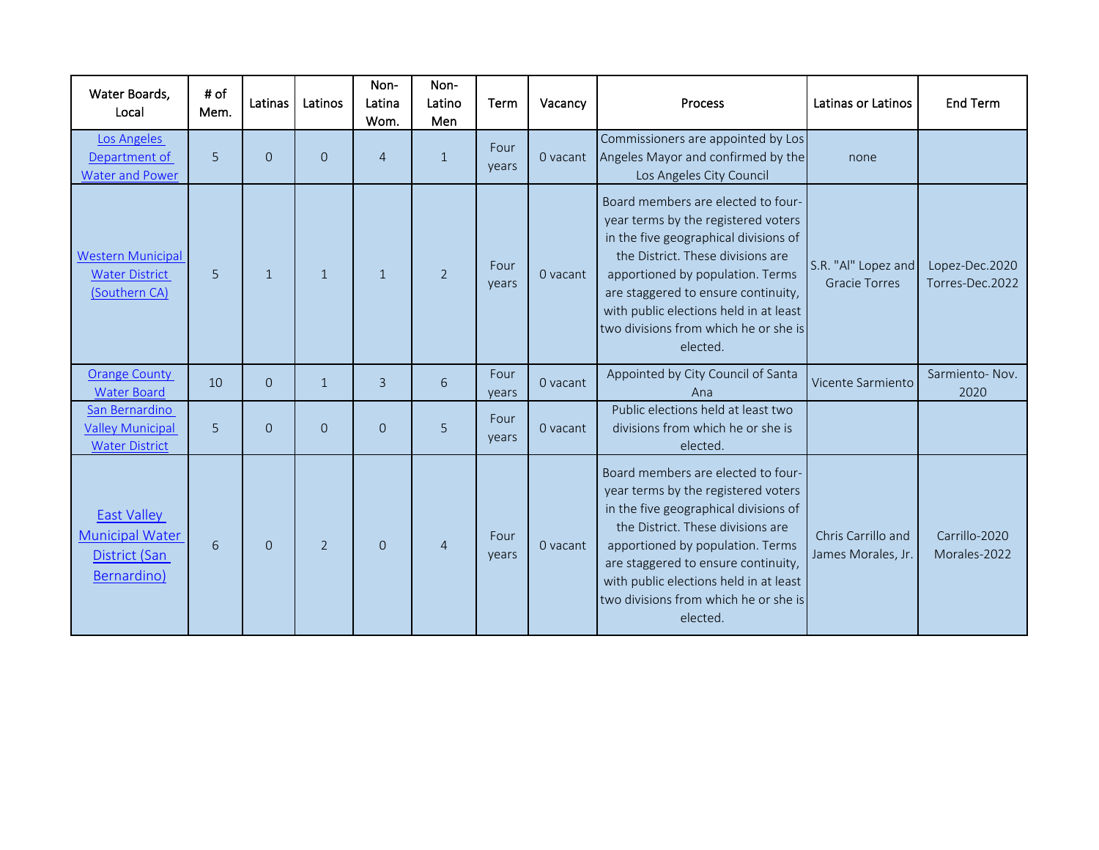| Water Boards,<br>Local                                                       | # of<br>Mem. | Latinas      | Latinos        | Non-<br>Latina<br>Wom. | Non-<br>Latino<br>Men | Term          | Vacancy  | Process                                                                                                                                                                                                                                                                                                                           | Latinas or Latinos                          | End Term                          |
|------------------------------------------------------------------------------|--------------|--------------|----------------|------------------------|-----------------------|---------------|----------|-----------------------------------------------------------------------------------------------------------------------------------------------------------------------------------------------------------------------------------------------------------------------------------------------------------------------------------|---------------------------------------------|-----------------------------------|
| Los Angeles<br>Department of<br><b>Water and Power</b>                       | 5            | $\Omega$     | $\Omega$       | $\overline{4}$         | $\mathbf{1}$          | Four<br>years | 0 vacant | Commissioners are appointed by Los<br>Angeles Mayor and confirmed by the<br>Los Angeles City Council                                                                                                                                                                                                                              | none                                        |                                   |
| <b>Western Municipal</b><br><b>Water District</b><br>(Southern CA)           | 5            | $\mathbf{1}$ | $\mathbf{1}$   | $\mathbf{1}$           | $\overline{2}$        | Four<br>years | 0 vacant | Board members are elected to four-<br>year terms by the registered voters<br>in the five geographical divisions of<br>the District. These divisions are<br>apportioned by population. Terms<br>are staggered to ensure continuity,<br>with public elections held in at least<br>two divisions from which he or she is<br>elected. | S.R. "Al" Lopez and<br><b>Gracie Torres</b> | Lopez-Dec.2020<br>Torres-Dec.2022 |
| <b>Orange County</b><br><b>Water Board</b>                                   | 10           | $\Omega$     | $\mathbf{1}$   | 3                      | 6                     | Four<br>vears | 0 vacant | Appointed by City Council of Santa<br>Ana                                                                                                                                                                                                                                                                                         | Vicente Sarmiento                           | Sarmiento-Nov.<br>2020            |
| San Bernardino<br><b>Valley Municipal</b><br><b>Water District</b>           | 5            | $\Omega$     | $\Omega$       | $\Omega$               | 5                     | Four<br>years | 0 vacant | Public elections held at least two<br>divisions from which he or she is<br>elected.                                                                                                                                                                                                                                               |                                             |                                   |
| <b>East Valley</b><br><b>Municipal Water</b><br>District (San<br>Bernardino) | 6            | $\Omega$     | $\overline{2}$ | $\Omega$               | $\overline{4}$        | Four<br>years | 0 vacant | Board members are elected to four-<br>year terms by the registered voters<br>in the five geographical divisions of<br>the District. These divisions are<br>apportioned by population. Terms<br>are staggered to ensure continuity,<br>with public elections held in at least<br>two divisions from which he or she is<br>elected. | Chris Carrillo and<br>James Morales, Jr.    | Carrillo-2020<br>Morales-2022     |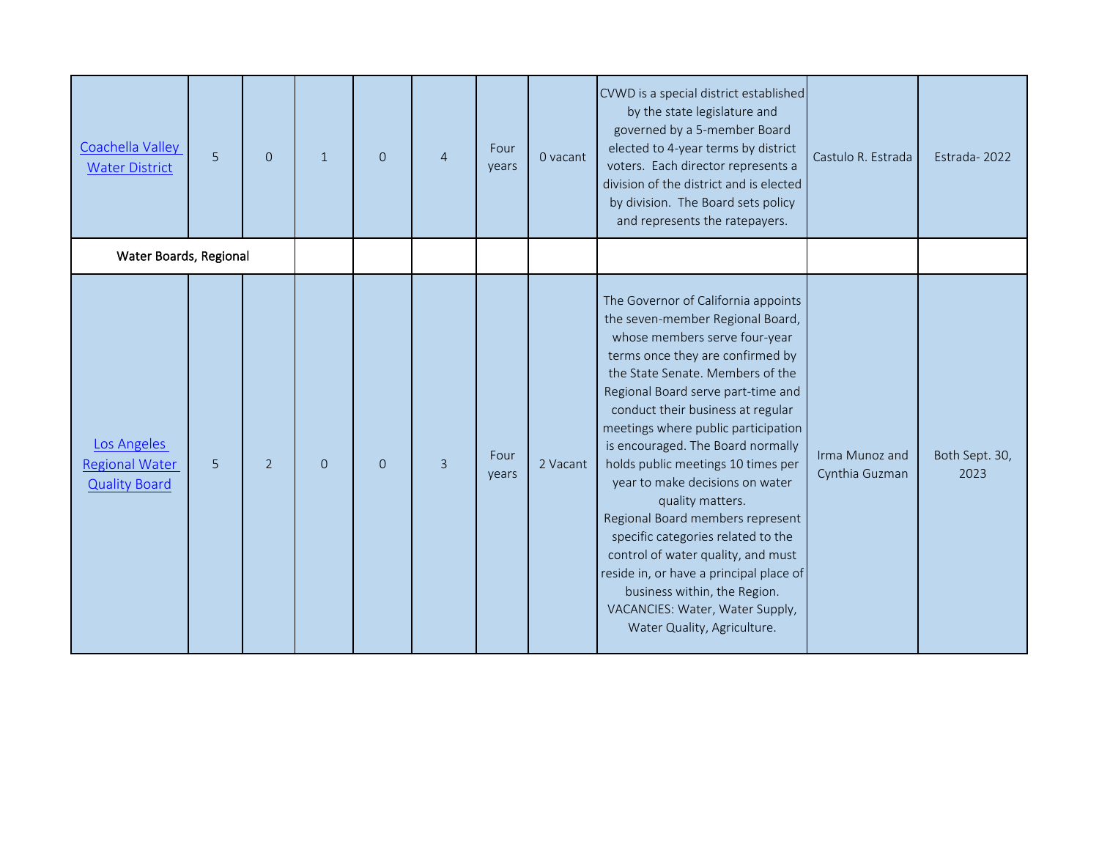| Coachella Valley<br><b>Water District</b>                    | $\overline{5}$ | $\Omega$       | $\mathbf{1}$   | $\overline{0}$ | $\overline{4}$ | Four<br>years | 0 vacant | CVWD is a special district established<br>by the state legislature and<br>governed by a 5-member Board<br>elected to 4-year terms by district<br>voters. Each director represents a<br>division of the district and is elected<br>by division. The Board sets policy<br>and represents the ratepayers.                                                                                                                                                                                                                                                                                                                                                                                            | Castulo R. Estrada               | Estrada-2022           |
|--------------------------------------------------------------|----------------|----------------|----------------|----------------|----------------|---------------|----------|---------------------------------------------------------------------------------------------------------------------------------------------------------------------------------------------------------------------------------------------------------------------------------------------------------------------------------------------------------------------------------------------------------------------------------------------------------------------------------------------------------------------------------------------------------------------------------------------------------------------------------------------------------------------------------------------------|----------------------------------|------------------------|
| Water Boards, Regional                                       |                |                |                |                |                |               |          |                                                                                                                                                                                                                                                                                                                                                                                                                                                                                                                                                                                                                                                                                                   |                                  |                        |
| Los Angeles<br><b>Regional Water</b><br><b>Quality Board</b> | 5              | $\overline{2}$ | $\overline{0}$ | $\mathbf{O}$   | $\overline{3}$ | Four<br>years | 2 Vacant | The Governor of California appoints<br>the seven-member Regional Board,<br>whose members serve four-year<br>terms once they are confirmed by<br>the State Senate. Members of the<br>Regional Board serve part-time and<br>conduct their business at regular<br>meetings where public participation<br>is encouraged. The Board normally<br>holds public meetings 10 times per<br>year to make decisions on water<br>quality matters.<br>Regional Board members represent<br>specific categories related to the<br>control of water quality, and must<br>reside in, or have a principal place of<br>business within, the Region.<br>VACANCIES: Water, Water Supply,<br>Water Quality, Agriculture. | Irma Munoz and<br>Cynthia Guzman | Both Sept. 30,<br>2023 |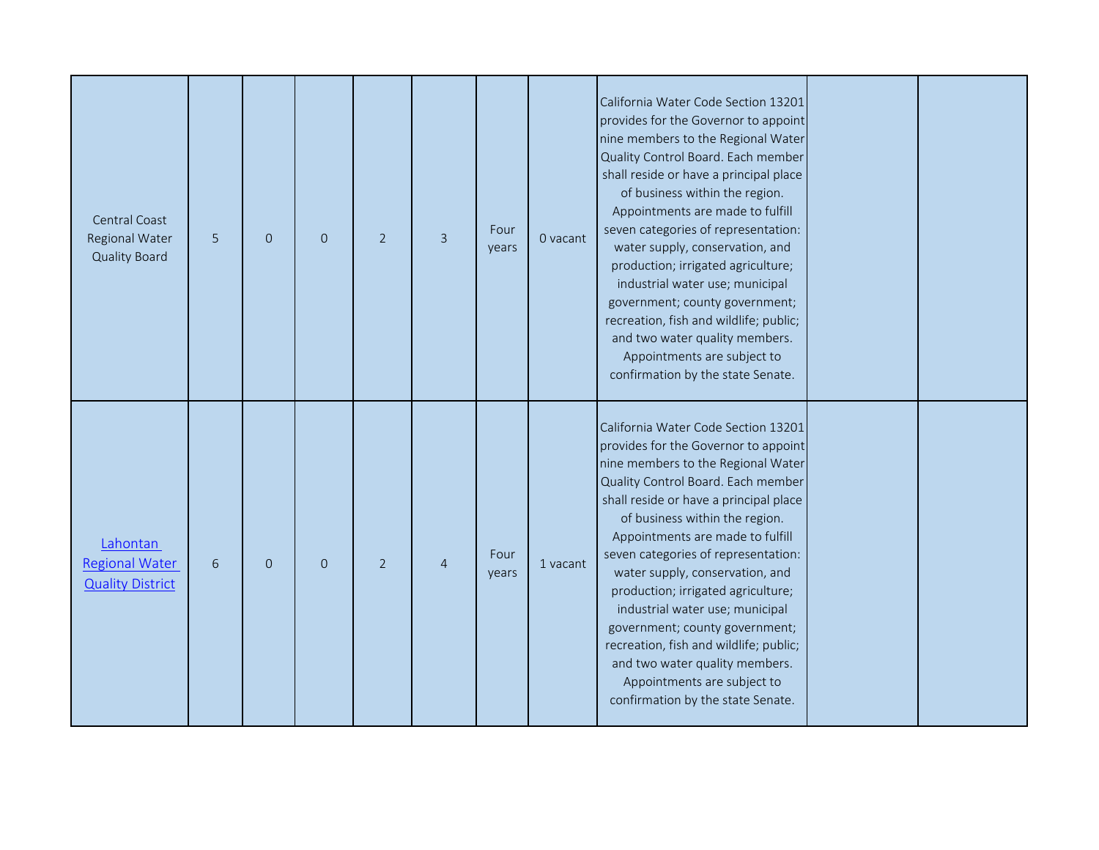| Central Coast<br>Regional Water<br><b>Quality Board</b>      | 5               | $\mathbf{O}$   | $\overline{0}$ | $\overline{2}$ | $\overline{3}$ | Four<br>years | 0 vacant | California Water Code Section 13201<br>provides for the Governor to appoint<br>nine members to the Regional Water<br>Quality Control Board. Each member<br>shall reside or have a principal place<br>of business within the region.<br>Appointments are made to fulfill<br>seven categories of representation:<br>water supply, conservation, and<br>production; irrigated agriculture;<br>industrial water use; municipal<br>government; county government;<br>recreation, fish and wildlife; public;<br>and two water quality members.<br>Appointments are subject to<br>confirmation by the state Senate. |  |
|--------------------------------------------------------------|-----------------|----------------|----------------|----------------|----------------|---------------|----------|--------------------------------------------------------------------------------------------------------------------------------------------------------------------------------------------------------------------------------------------------------------------------------------------------------------------------------------------------------------------------------------------------------------------------------------------------------------------------------------------------------------------------------------------------------------------------------------------------------------|--|
| Lahontan<br><b>Regional Water</b><br><b>Quality District</b> | $6\phantom{1}6$ | $\overline{O}$ | $\Omega$       | $\overline{2}$ | $\overline{A}$ | Four<br>years | 1 vacant | California Water Code Section 13201<br>provides for the Governor to appoint<br>nine members to the Regional Water<br>Quality Control Board. Each member<br>shall reside or have a principal place<br>of business within the region.<br>Appointments are made to fulfill<br>seven categories of representation:<br>water supply, conservation, and<br>production; irrigated agriculture;<br>industrial water use; municipal<br>government; county government;<br>recreation, fish and wildlife; public;<br>and two water quality members.<br>Appointments are subject to<br>confirmation by the state Senate. |  |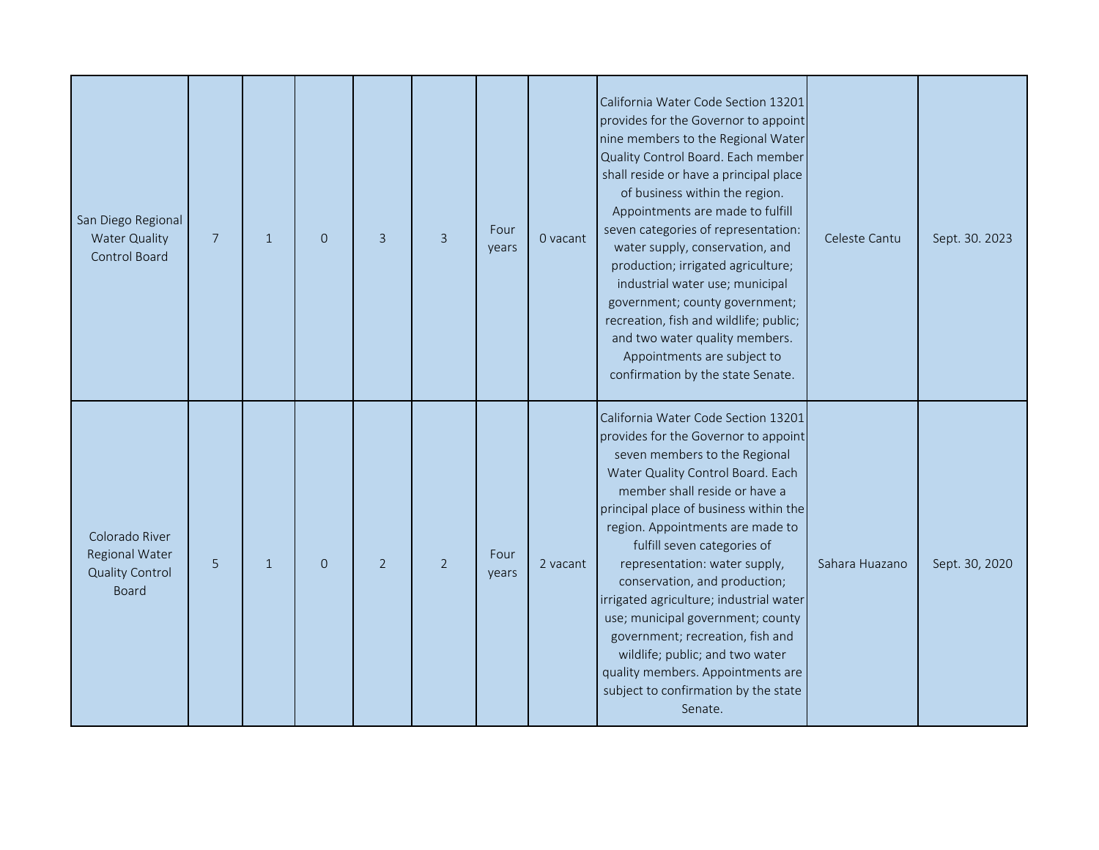| San Diego Regional<br><b>Water Quality</b><br>Control Board                | $\overline{7}$ | $\mathbf{1}$ | $\Omega$ | $\overline{3}$ | $\overline{3}$ | Four<br>years | 0 vacant | California Water Code Section 13201<br>provides for the Governor to appoint<br>nine members to the Regional Water<br>Quality Control Board. Each member<br>shall reside or have a principal place<br>of business within the region.<br>Appointments are made to fulfill<br>seven categories of representation:<br>water supply, conservation, and<br>production; irrigated agriculture;<br>industrial water use; municipal<br>government; county government;<br>recreation, fish and wildlife; public;<br>and two water quality members.<br>Appointments are subject to<br>confirmation by the state Senate.     | Celeste Cantu  | Sept. 30. 2023 |
|----------------------------------------------------------------------------|----------------|--------------|----------|----------------|----------------|---------------|----------|------------------------------------------------------------------------------------------------------------------------------------------------------------------------------------------------------------------------------------------------------------------------------------------------------------------------------------------------------------------------------------------------------------------------------------------------------------------------------------------------------------------------------------------------------------------------------------------------------------------|----------------|----------------|
| Colorado River<br>Regional Water<br><b>Quality Control</b><br><b>Board</b> | 5              | $\mathbf{1}$ | $\Omega$ | $\overline{2}$ | $\overline{2}$ | Four<br>years | 2 vacant | California Water Code Section 13201<br>provides for the Governor to appoint<br>seven members to the Regional<br>Water Quality Control Board. Each<br>member shall reside or have a<br>principal place of business within the<br>region. Appointments are made to<br>fulfill seven categories of<br>representation: water supply,<br>conservation, and production;<br>irrigated agriculture; industrial water<br>use; municipal government; county<br>government; recreation, fish and<br>wildlife; public; and two water<br>quality members. Appointments are<br>subject to confirmation by the state<br>Senate. | Sahara Huazano | Sept. 30, 2020 |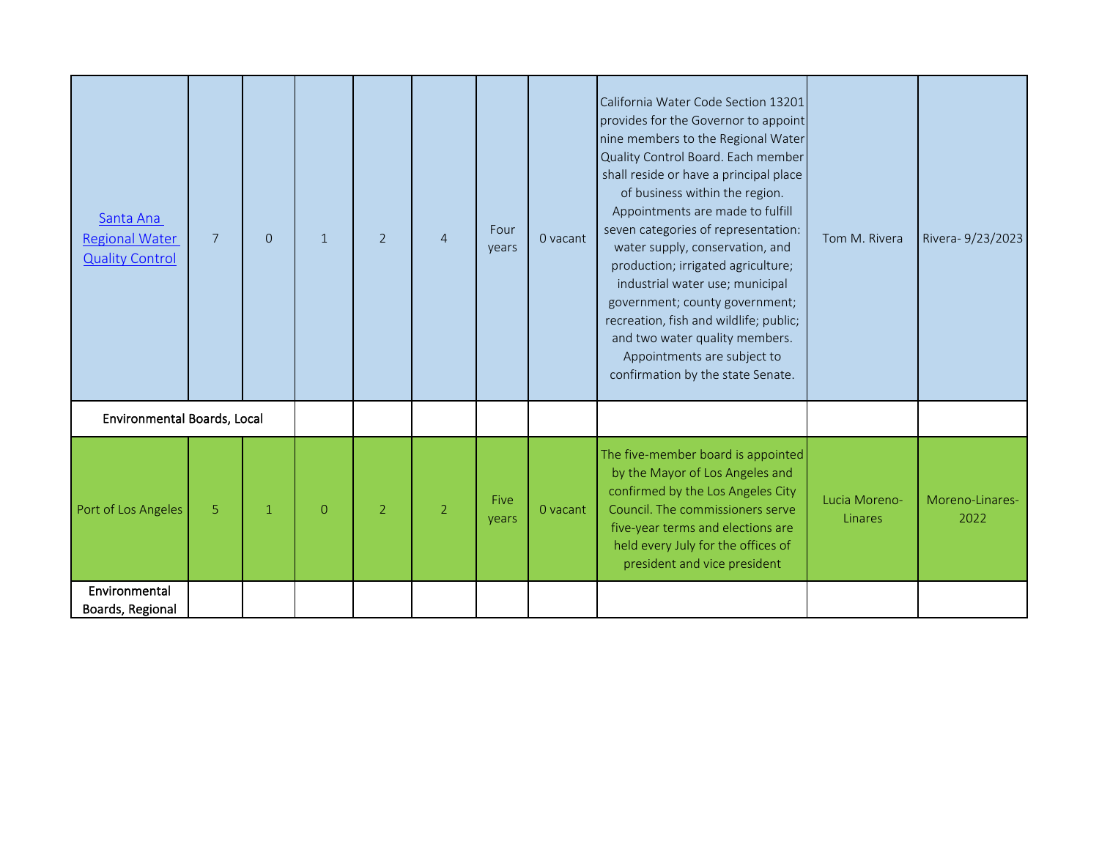| Santa Ana<br><b>Regional Water</b><br><b>Quality Control</b> | $7\overline{ }$ | $\overline{O}$ | $\mathbf{1}$   | $\overline{2}$ | $\overline{4}$ | Four<br>years | 0 vacant | California Water Code Section 13201<br>provides for the Governor to appoint<br>nine members to the Regional Water<br>Quality Control Board. Each member<br>shall reside or have a principal place<br>of business within the region.<br>Appointments are made to fulfill<br>seven categories of representation:<br>water supply, conservation, and<br>production; irrigated agriculture;<br>industrial water use; municipal<br>government; county government;<br>recreation, fish and wildlife; public;<br>and two water quality members.<br>Appointments are subject to<br>confirmation by the state Senate. | Tom M. Rivera            | Rivera- 9/23/2023       |
|--------------------------------------------------------------|-----------------|----------------|----------------|----------------|----------------|---------------|----------|--------------------------------------------------------------------------------------------------------------------------------------------------------------------------------------------------------------------------------------------------------------------------------------------------------------------------------------------------------------------------------------------------------------------------------------------------------------------------------------------------------------------------------------------------------------------------------------------------------------|--------------------------|-------------------------|
| Environmental Boards, Local                                  |                 |                |                |                |                |               |          |                                                                                                                                                                                                                                                                                                                                                                                                                                                                                                                                                                                                              |                          |                         |
| Port of Los Angeles                                          | 5               | $\mathbf{1}$   | $\overline{O}$ | $\overline{2}$ | $\overline{2}$ | Five<br>years | 0 vacant | The five-member board is appointed<br>by the Mayor of Los Angeles and<br>confirmed by the Los Angeles City<br>Council. The commissioners serve<br>five-year terms and elections are<br>held every July for the offices of<br>president and vice president                                                                                                                                                                                                                                                                                                                                                    | Lucia Moreno-<br>Linares | Moreno-Linares-<br>2022 |
| Environmental<br>Boards, Regional                            |                 |                |                |                |                |               |          |                                                                                                                                                                                                                                                                                                                                                                                                                                                                                                                                                                                                              |                          |                         |